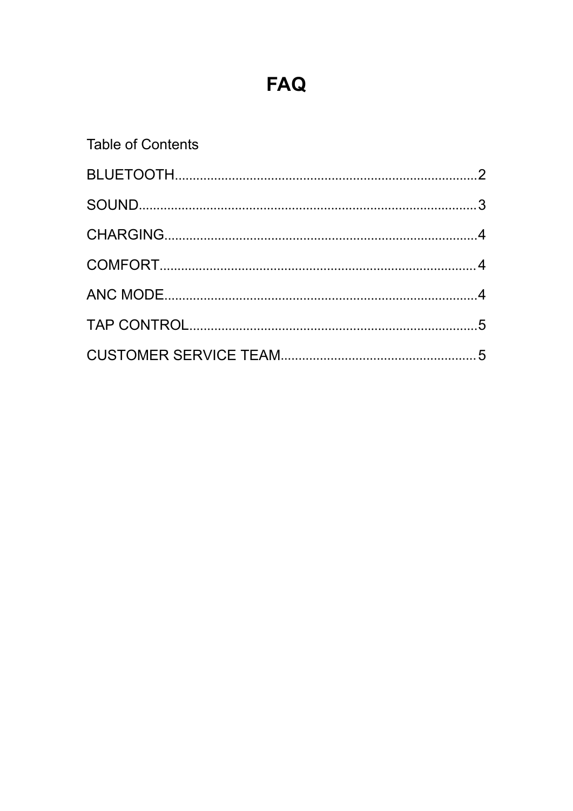# **FAQ**

### **Table of Contents**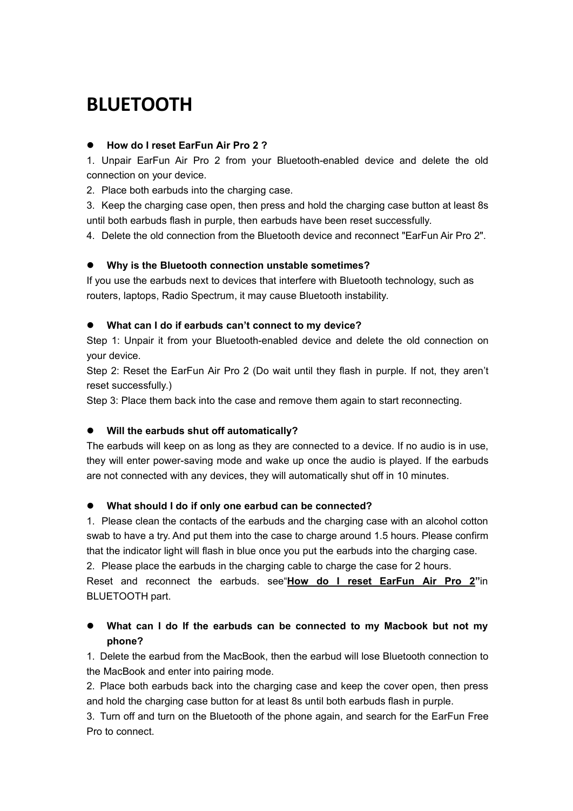## <span id="page-1-0"></span>**BLUETOOTH**

### **How do I reset EarFun Air Pro 2 ?**

1. Unpair EarFun Air Pro 2 from your Bluetooth-enabled device and delete the old connection on your device.

2. Place both earbuds into the charging case.

3. Keep the charging case open, then press and hold the charging case button at least 8s until both earbuds flash in purple, then earbuds have been reset successfully.

4. Delete the old connection from the Bluetooth device and reconnect "EarFun Air Pro 2".

### **Why is the Bluetooth connection unstable sometimes?**

If you use the earbuds next to devices that interfere with Bluetooth technology, such as routers, laptops, Radio Spectrum, it may cause Bluetooth instability.

#### **What can I do if earbuds can't connect to my device?**

Step 1: Unpair it from your Bluetooth-enabled device and delete the old connection on your device.

Step 2: Reset the EarFun Air Pro 2 (Do wait until they flash in purple. If not, they aren't reset successfully.)

Step 3: Place them back into the case and remove them again to start reconnecting.

### **Will the earbuds shut off automatically?**

The earbuds will keep on as long as they are connected to a device. If no audio is in use, they will enter power-saving mode and wake up once the audio is played. If the earbuds are not connected with any devices, they will automatically shut off in 10 minutes.

### **What should I do if only one earbud can be connected?**

1. Please clean the contacts of the earbuds and the charging case with an alcohol cotton swab to have a try. And put them into the case to charge around 1.5 hours. Please confirm that the indicator light will flash in blue once you put the earbuds into the charging case.

2. Please place the earbuds in the charging cable to charge the case for 2 hours.

Reset and reconnectthe earbuds. see"**How do I reset [EarFun](#page-1-0) Air Pro 2"**in BLUETOOTH part.

### **What can I do If the earbuds can be connected to my Macbook but not my phone?**

1. Delete the earbud from the MacBook, then the earbud will lose Bluetooth connection to the MacBook and enter into pairing mode.

2. Place both earbuds back into the charging case and keep the cover open, then press and hold the charging case button for at least 8s until both earbuds flash in purple.

3. Turn off and turn on the Bluetooth of the phone again, and search for the EarFun Free Pro to connect.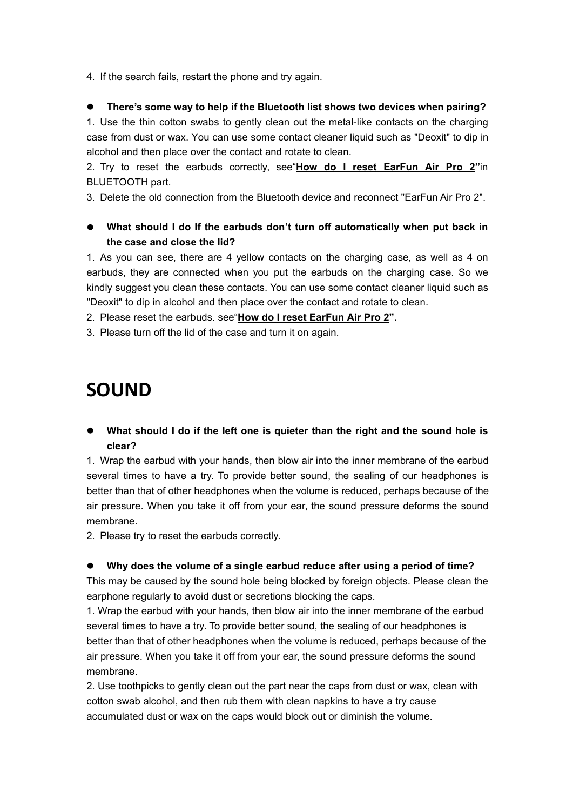4. If the search fails, restart the phone and try again.

#### **There's some way to help if the Bluetooth list shows two devices when pairing?**

1. Use the thin cotton swabs to gently clean out the metal-like contacts on the charging case from dust or wax. You can use some contact cleaner liquid such as "Deoxit" to dip in alcohol and then place over the contact and rotate to clean.

2. Try to reset the earbuds correctly, see"**How do I reset [EarFun](#page-1-0) Air Pro 2"**in BLUETOOTH part.

3. Delete the old connection from the Bluetooth device and reconnect "EarFun Air Pro 2".

### **What should I do If the earbuds don't turn off automatically when put back in the case and close the lid?**

1. As you can see, there are 4 yellow contacts on the charging case, as well as 4 on earbuds, they are connected when you put the earbuds on the charging case. So we kindly suggest you clean these contacts. You can use some contact cleaner liquid such as "Deoxit" to dip in alcohol and then place over the contact and rotate to clean.

2. Please reset the earbuds. see"**How do I reset [EarFun](#page-1-0) Air Pro 2".**

3. Please turn off the lid of the case and turn it on again.

### <span id="page-2-0"></span>**SOUND**

 **What should I do if the left one is quieter than the right and the sound hole is clear?**

1. Wrap the earbud with your hands, then blow air into the inner membrane of the earbud several times to have a try. To provide better sound, the sealing of our headphones is better than that of other headphones when the volume is reduced, perhaps because of the air pressure. When you take it off from your ear, the sound pressure deforms the sound membrane.

2. Please try to reset the earbuds correctly.

#### **Why does the volume of a single earbud reduce after using a period of time?**

This may be caused by the sound hole being blocked by foreign objects. Please clean the earphone regularly to avoid dust or secretions blocking the caps.

1. Wrap the earbud with your hands, then blow air into the inner membrane of the earbud several times to have a try. To provide better sound, the sealing of our headphones is better than that of other headphones when the volume is reduced, perhaps because of the air pressure. When you take it off from your ear, the sound pressure deforms the sound membrane.

2. Use toothpicks to gently clean out the part near the caps from dust or wax, clean with cotton swab alcohol, and then rub them with clean napkins to have a try cause accumulated dust or wax on the caps would block out or diminish the volume.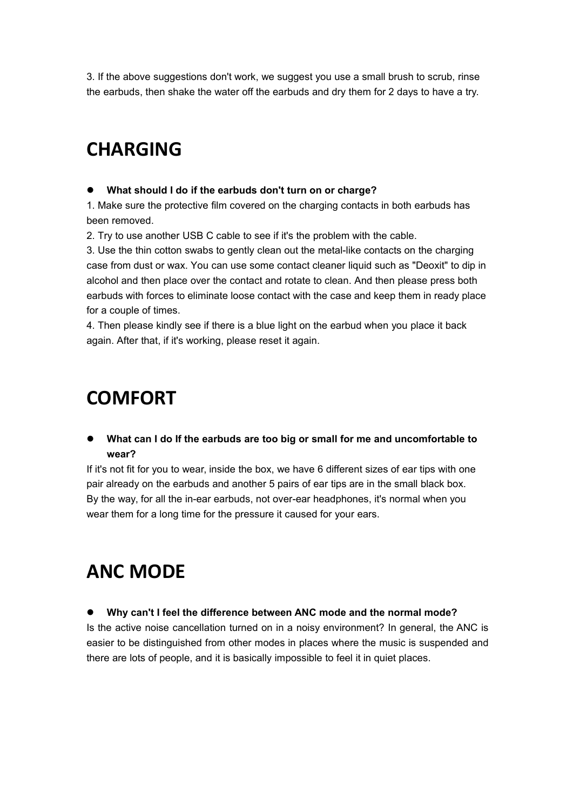3. If the above suggestions don't work, we suggest you use a small brush to scrub, rinse the earbuds, then shake the water off the earbuds and dry them for 2 days to have a try.

### <span id="page-3-0"></span>**CHARGING**

#### **What should I do if the earbuds don't turn on or charge?**

1. Make sure the protective film covered on the charging contacts in both earbuds has been removed.

2. Try to use another USB C cable to see if it's the problem with the cable.

3. Use the thin cotton swabs to gently clean out the metal-like contacts on the charging case from dust or wax. You can use some contact cleaner liquid such as "Deoxit" to dip in alcohol and then place over the contact and rotate to clean. And then please press both earbuds with forces to eliminate loose contact with the case and keep them in ready place for a couple of times.

4. Then please kindly see if there is a blue light on the earbud when you place it back again. After that, if it's working, please reset it again.

### <span id="page-3-1"></span>**COMFORT**

 **What can I do If the earbuds are too big or small for me and uncomfortable to wear?**

If it's not fit for you to wear, inside the box, we have 6 different sizes of ear tips with one pair already on the earbuds and another 5 pairs of ear tips are in the small black box. By the way, for all the in-ear earbuds, not over-ear headphones, it's normal when you wear them for a long time for the pressure it caused for your ears.

## <span id="page-3-2"></span>**ANC MODE**

#### **Why can't I feel the difference between ANC mode and the normal mode?**

Is the active noise cancellation turned on in a noisy environment? In general, the ANC is easier to be distinguished from other modes in places where the music is suspended and there are lots of people, and it is basically impossible to feel it in quiet places.